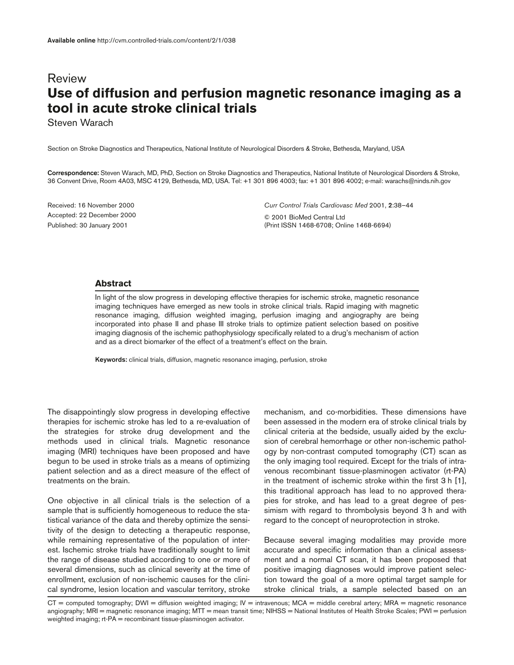# Review **Use of diffusion and perfusion magnetic resonance imaging as a tool in acute stroke clinical trials**

Steven Warach

Section on Stroke Diagnostics and Therapeutics, National Institute of Neurological Disorders & Stroke, Bethesda, Maryland, USA

**Correspondence:** Steven Warach, MD, PhD, Section on Stroke Diagnostics and Therapeutics, National Institute of Neurological Disorders & Stroke, 36 Convent Drive, Room 4A03, MSC 4129, Bethesda, MD, USA. Tel: +1 301 896 4003; fax: +1 301 896 4002; e-mail: warachs@ninds.nih.gov

Received: 16 November 2000 Accepted: 22 December 2000 Published: 30 January 2001

*Curr Control Trials Cardiovasc Med* 2001, **2**:38–44 © 2001 BioMed Central Ltd (Print ISSN 1468-6708; Online 1468-6694)

## **Abstract**

In light of the slow progress in developing effective therapies for ischemic stroke, magnetic resonance imaging techniques have emerged as new tools in stroke clinical trials. Rapid imaging with magnetic resonance imaging, diffusion weighted imaging, perfusion imaging and angiography are being incorporated into phase II and phase III stroke trials to optimize patient selection based on positive imaging diagnosis of the ischemic pathophysiology specifically related to a drug's mechanism of action and as a direct biomarker of the effect of a treatment's effect on the brain.

**Keywords:** clinical trials, diffusion, magnetic resonance imaging, perfusion, stroke

The disappointingly slow progress in developing effective therapies for ischemic stroke has led to a re-evaluation of the strategies for stroke drug development and the methods used in clinical trials. Magnetic resonance imaging (MRI) techniques have been proposed and have begun to be used in stroke trials as a means of optimizing patient selection and as a direct measure of the effect of treatments on the brain.

One objective in all clinical trials is the selection of a sample that is sufficiently homogeneous to reduce the statistical variance of the data and thereby optimize the sensitivity of the design to detecting a therapeutic response, while remaining representative of the population of interest. Ischemic stroke trials have traditionally sought to limit the range of disease studied according to one or more of several dimensions, such as clinical severity at the time of enrollment, exclusion of non-ischemic causes for the clinical syndrome, lesion location and vascular territory, stroke mechanism, and co-morbidities. These dimensions have been assessed in the modern era of stroke clinical trials by clinical criteria at the bedside, usually aided by the exclusion of cerebral hemorrhage or other non-ischemic pathology by non-contrast computed tomography (CT) scan as the only imaging tool required. Except for the trials of intravenous recombinant tissue-plasminogen activator (rt-PA) in the treatment of ischemic stroke within the first 3 h [1], this traditional approach has lead to no approved therapies for stroke, and has lead to a great degree of pessimism with regard to thrombolysis beyond 3 h and with regard to the concept of neuroprotection in stroke.

Because several imaging modalities may provide more accurate and specific information than a clinical assessment and a normal CT scan, it has been proposed that positive imaging diagnoses would improve patient selection toward the goal of a more optimal target sample for stroke clinical trials, a sample selected based on an

 $CT =$  computed tomography; DWI = diffusion weighted imaging;  $IV =$  intravenous; MCA = middle cerebral artery; MRA = magnetic resonance angiography; MRI = magnetic resonance imaging; MTT = mean transit time; NIHSS = National Institutes of Health Stroke Scales; PWI = perfusion weighted imaging; rt-PA = recombinant tissue-plasminogen activator.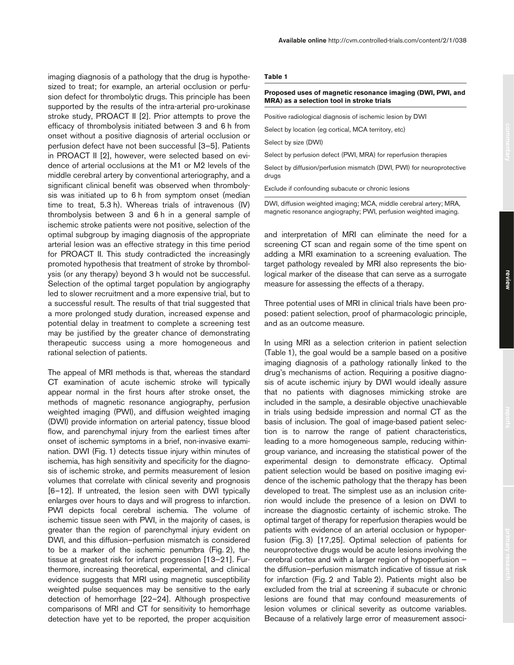imaging diagnosis of a pathology that the drug is hypothesized to treat; for example, an arterial occlusion or perfusion defect for thrombolytic drugs. This principle has been supported by the results of the intra-arterial pro-urokinase stroke study, PROACT II [2]. Prior attempts to prove the efficacy of thrombolysis initiated between 3 and 6 h from onset without a positive diagnosis of arterial occlusion or perfusion defect have not been successful [3–5]. Patients in PROACT II [2], however, were selected based on evidence of arterial occlusions at the M1 or M2 levels of the middle cerebral artery by conventional arteriography, and a significant clinical benefit was observed when thrombolysis was initiated up to 6 h from symptom onset (median time to treat, 5.3 h). Whereas trials of intravenous (IV) thrombolysis between 3 and 6 h in a general sample of ischemic stroke patients were not positive, selection of the optimal subgroup by imaging diagnosis of the appropriate arterial lesion was an effective strategy in this time period for PROACT II. This study contradicted the increasingly promoted hypothesis that treatment of stroke by thrombolysis (or any therapy) beyond 3 h would not be successful. Selection of the optimal target population by angiography led to slower recruitment and a more expensive trial, but to a successful result. The results of that trial suggested that a more prolonged study duration, increased expense and potential delay in treatment to complete a screening test may be justified by the greater chance of demonstrating therapeutic success using a more homogeneous and rational selection of patients.

The appeal of MRI methods is that, whereas the standard CT examination of acute ischemic stroke will typically appear normal in the first hours after stroke onset, the methods of magnetic resonance angiography, perfusion weighted imaging (PWI), and diffusion weighted imaging (DWI) provide information on arterial patency, tissue blood flow, and parenchymal injury from the earliest times after onset of ischemic symptoms in a brief, non-invasive examination. DWI (Fig. 1) detects tissue injury within minutes of ischemia, has high sensitivity and specificity for the diagnosis of ischemic stroke, and permits measurement of lesion volumes that correlate with clinical severity and prognosis [6–12]. If untreated, the lesion seen with DWI typically enlarges over hours to days and will progress to infarction. PWI depicts focal cerebral ischemia. The volume of ischemic tissue seen with PWI, in the majority of cases, is greater than the region of parenchymal injury evident on DWI, and this diffusion–perfusion mismatch is considered to be a marker of the ischemic penumbra (Fig. 2), the tissue at greatest risk for infarct progression [13–21]. Furthermore, increasing theoretical, experimental, and clinical evidence suggests that MRI using magnetic susceptibility weighted pulse sequences may be sensitive to the early detection of hemorrhage [22–24]. Although prospective comparisons of MRI and CT for sensitivity to hemorrhage detection have yet to be reported, the proper acquisition

#### **Table 1**

#### **Proposed uses of magnetic resonance imaging (DWI, PWI, and MRA) as a selection tool in stroke trials**

Positive radiological diagnosis of ischemic lesion by DWI

Select by location (eg cortical, MCA territory, etc)

Select by size (DWI)

Select by perfusion defect (PWI, MRA) for reperfusion therapies

Select by diffusion/perfusion mismatch (DWI, PWI) for neuroprotective drugs

Exclude if confounding subacute or chronic lesions

DWI, diffusion weighted imaging; MCA, middle cerebral artery; MRA, magnetic resonance angiography; PWI, perfusion weighted imaging.

and interpretation of MRI can eliminate the need for a screening CT scan and regain some of the time spent on adding a MRI examination to a screening evaluation. The target pathology revealed by MRI also represents the biological marker of the disease that can serve as a surrogate measure for assessing the effects of a therapy.

Three potential uses of MRI in clinical trials have been proposed: patient selection, proof of pharmacologic principle, and as an outcome measure.

In using MRI as a selection criterion in patient selection (Table 1), the goal would be a sample based on a positive imaging diagnosis of a pathology rationally linked to the drug's mechanisms of action. Requiring a positive diagnosis of acute ischemic injury by DWI would ideally assure that no patients with diagnoses mimicking stroke are included in the sample, a desirable objective unachievable in trials using bedside impression and normal CT as the basis of inclusion. The goal of image-based patient selection is to narrow the range of patient characteristics, leading to a more homogeneous sample, reducing withingroup variance, and increasing the statistical power of the experimental design to demonstrate efficacy. Optimal patient selection would be based on positive imaging evidence of the ischemic pathology that the therapy has been developed to treat. The simplest use as an inclusion criterion would include the presence of a lesion on DWI to increase the diagnostic certainty of ischemic stroke. The optimal target of therapy for reperfusion therapies would be patients with evidence of an arterial occlusion or hypoperfusion (Fig. 3) [17,25]. Optimal selection of patients for neuroprotective drugs would be acute lesions involving the cerebral cortex and with a larger region of hypoperfusion the diffusion–perfusion mismatch indicative of tissue at risk for infarction (Fig. 2 and Table 2). Patients might also be excluded from the trial at screening if subacute or chronic lesions are found that may confound measurements of lesion volumes or clinical severity as outcome variables. Because of a relatively large error of measurement associ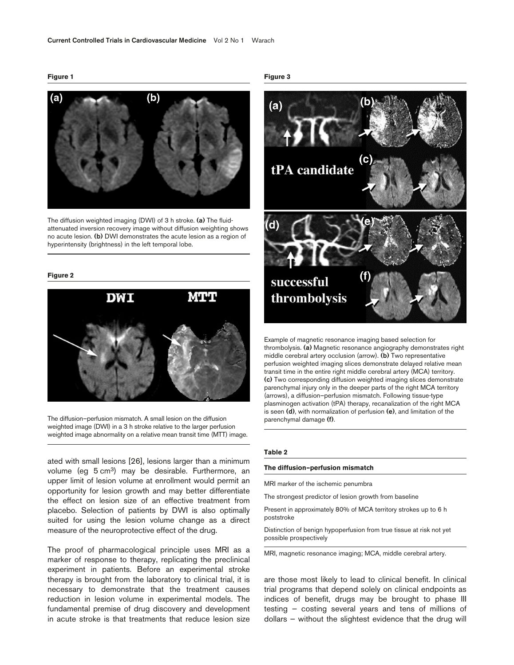**Figure 1**



The diffusion weighted imaging (DWI) of 3 h stroke. **(a)** The fluidattenuated inversion recovery image without diffusion weighting shows no acute lesion. **(b)** DWI demonstrates the acute lesion as a region of hyperintensity (brightness) in the left temporal lobe.

# **Figure 2**



The diffusion–perfusion mismatch. A small lesion on the diffusion weighted image (DWI) in a 3 h stroke relative to the larger perfusion weighted image abnormality on a relative mean transit time (MTT) image.

ated with small lesions [26], lesions larger than a minimum volume (eg 5 cm3) may be desirable. Furthermore, an upper limit of lesion volume at enrollment would permit an opportunity for lesion growth and may better differentiate the effect on lesion size of an effective treatment from placebo. Selection of patients by DWI is also optimally suited for using the lesion volume change as a direct measure of the neuroprotective effect of the drug.

The proof of pharmacological principle uses MRI as a marker of response to therapy, replicating the preclinical experiment in patients. Before an experimental stroke therapy is brought from the laboratory to clinical trial, it is necessary to demonstrate that the treatment causes reduction in lesion volume in experimental models. The fundamental premise of drug discovery and development in acute stroke is that treatments that reduce lesion size **Figure 3**



Example of magnetic resonance imaging based selection for thrombolysis. **(a)** Magnetic resonance angiography demonstrates right middle cerebral artery occlusion (arrow). **(b)** Two representative perfusion weighted imaging slices demonstrate delayed relative mean transit time in the entire right middle cerebral artery (MCA) territory. **(c)** Two corresponding diffusion weighted imaging slices demonstrate parenchymal injury only in the deeper parts of the right MCA territory (arrows), a diffusion–perfusion mismatch. Following tissue-type plasminogen activation (tPA) therapy, recanalization of the right MCA is seen **(d)**, with normalization of perfusion **(e)**, and limitation of the parenchymal damage **(f)**.

## **Table 2**

# **The diffusion–perfusion mismatch**

MRI marker of the ischemic penumbra

The strongest predictor of lesion growth from baseline

Present in approximately 80% of MCA territory strokes up to 6 h poststroke

Distinction of benign hypoperfusion from true tissue at risk not yet possible prospectively

MRI, magnetic resonance imaging; MCA, middle cerebral artery.

are those most likely to lead to clinical benefit. In clinical trial programs that depend solely on clinical endpoints as indices of benefit, drugs may be brought to phase III testing — costing several years and tens of millions of dollars — without the slightest evidence that the drug will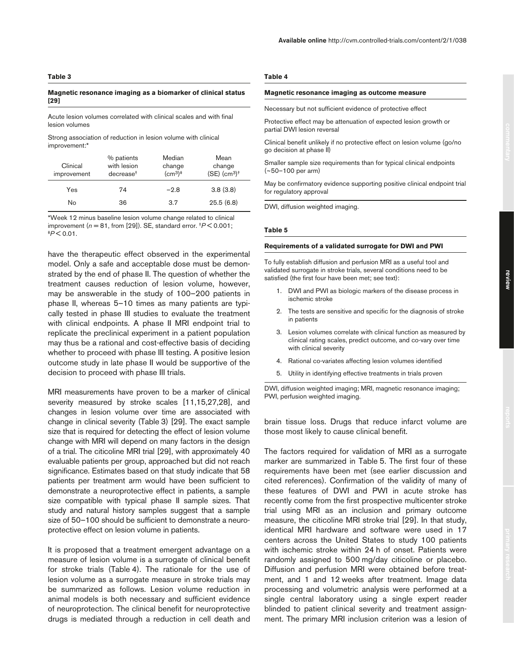#### **Table 3**

## **Magnetic resonance imaging as a biomarker of clinical status [29]**

Acute lesion volumes correlated with clinical scales and with final lesion volumes

Strong association of reduction in lesion volume with clinical improvement:\*

| Clinical<br>improvement | % patients<br>with lesion<br>decrease <sup>†</sup> | Median<br>change<br>(cm <sup>3</sup> ) <sup>‡</sup> | Mean<br>change<br>$(SE)$ (cm <sup>3)+</sup> |
|-------------------------|----------------------------------------------------|-----------------------------------------------------|---------------------------------------------|
| Yes                     | 74                                                 | $-2.8$                                              | 3.8(3.8)                                    |
| No                      | 36                                                 | 37                                                  | 25.5(6.8)                                   |

\*Week 12 minus baseline lesion volume change related to clinical improvement (*<sup>n</sup>* = 81, from [29]). SE, standard error. †*<sup>P</sup>* < 0.001; ‡*<sup>P</sup>* < 0.01.

have the therapeutic effect observed in the experimental model. Only a safe and acceptable dose must be demonstrated by the end of phase II. The question of whether the treatment causes reduction of lesion volume, however, may be answerable in the study of 100–200 patients in phase II, whereas 5–10 times as many patients are typically tested in phase III studies to evaluate the treatment with clinical endpoints. A phase II MRI endpoint trial to replicate the preclinical experiment in a patient population may thus be a rational and cost-effective basis of deciding whether to proceed with phase III testing. A positive lesion outcome study in late phase II would be supportive of the decision to proceed with phase III trials.

MRI measurements have proven to be a marker of clinical severity measured by stroke scales [11,15,27,28], and changes in lesion volume over time are associated with change in clinical severity (Table 3) [29]. The exact sample size that is required for detecting the effect of lesion volume change with MRI will depend on many factors in the design of a trial. The citicoline MRI trial [29], with approximately 40 evaluable patients per group, approached but did not reach significance. Estimates based on that study indicate that 58 patients per treatment arm would have been sufficient to demonstrate a neuroprotective effect in patients, a sample size compatible with typical phase II sample sizes. That study and natural history samples suggest that a sample size of 50–100 should be sufficient to demonstrate a neuroprotective effect on lesion volume in patients.

It is proposed that a treatment emergent advantage on a measure of lesion volume is a surrogate of clinical benefit for stroke trials (Table 4). The rationale for the use of lesion volume as a surrogate measure in stroke trials may be summarized as follows. Lesion volume reduction in animal models is both necessary and sufficient evidence of neuroprotection. The clinical benefit for neuroprotective drugs is mediated through a reduction in cell death and

## **Table 4**

## **Magnetic resonance imaging as outcome measure**

Necessary but not sufficient evidence of protective effect

Protective effect may be attenuation of expected lesion growth or partial DWI lesion reversal

Clinical benefit unlikely if no protective effect on lesion volume (go/no go decision at phase II)

Smaller sample size requirements than for typical clinical endpoints (~50–100 per arm)

May be confirmatory evidence supporting positive clinical endpoint trial for regulatory approval

DWI, diffusion weighted imaging.

## **Table 5**

#### **Requirements of a validated surrogate for DWI and PWI**

To fully establish diffusion and perfusion MRI as a useful tool and validated surrogate in stroke trials, several conditions need to be satisfied (the first four have been met; see text):

- 1. DWI and PWI as biologic markers of the disease process in ischemic stroke
- 2. The tests are sensitive and specific for the diagnosis of stroke in patients
- 3. Lesion volumes correlate with clinical function as measured by clinical rating scales, predict outcome, and co-vary over time with clinical severity
- 4. Rational co-variates affecting lesion volumes identified
- 5. Utility in identifying effective treatments in trials proven

DWI, diffusion weighted imaging; MRI, magnetic resonance imaging; PWI, perfusion weighted imaging.

brain tissue loss. Drugs that reduce infarct volume are those most likely to cause clinical benefit.

The factors required for validation of MRI as a surrogate marker are summarized in Table 5. The first four of these requirements have been met (see earlier discussion and cited references). Confirmation of the validity of many of these features of DWI and PWI in acute stroke has recently come from the first prospective multicenter stroke trial using MRI as an inclusion and primary outcome measure, the citicoline MRI stroke trial [29]. In that study, identical MRI hardware and software were used in 17 centers across the United States to study 100 patients with ischemic stroke within 24 h of onset. Patients were randomly assigned to 500 mg/day citicoline or placebo. Diffusion and perfusion MRI were obtained before treatment, and 1 and 12 weeks after treatment. Image data processing and volumetric analysis were performed at a single central laboratory using a single expert reader blinded to patient clinical severity and treatment assignment. The primary MRI inclusion criterion was a lesion of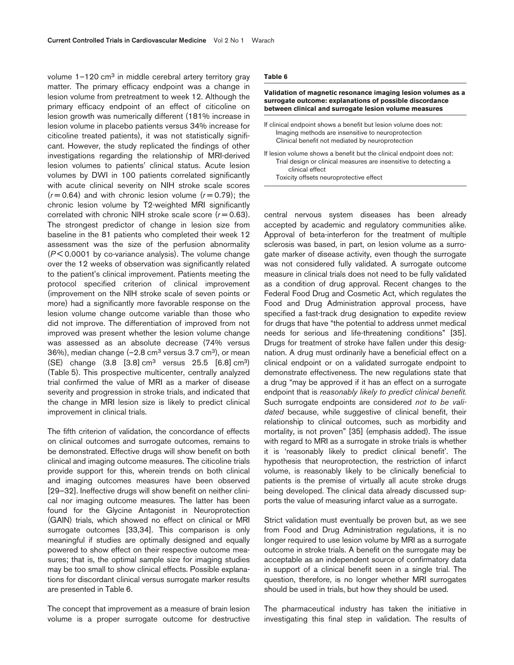volume  $1-120$  cm<sup>3</sup> in middle cerebral artery territory gray matter. The primary efficacy endpoint was a change in lesion volume from pretreatment to week 12. Although the primary efficacy endpoint of an effect of citicoline on lesion growth was numerically different (181% increase in lesion volume in placebo patients versus 34% increase for citicoline treated patients), it was not statistically significant. However, the study replicated the findings of other investigations regarding the relationship of MRI-derived lesion volumes to patients' clinical status. Acute lesion volumes by DWI in 100 patients correlated significantly with acute clinical severity on NIH stroke scale scores  $(r=0.64)$  and with chronic lesion volume  $(r=0.79)$ ; the chronic lesion volume by T2-weighted MRI significantly correlated with chronic NIH stroke scale score  $(r = 0.63)$ . The strongest predictor of change in lesion size from baseline in the 81 patients who completed their week 12 assessment was the size of the perfusion abnormality (*P* < 0.0001 by co-variance analysis). The volume change over the 12 weeks of observation was significantly related to the patient's clinical improvement. Patients meeting the protocol specified criterion of clinical improvement (improvement on the NIH stroke scale of seven points or more) had a significantly more favorable response on the lesion volume change outcome variable than those who did not improve. The differentiation of improved from not improved was present whether the lesion volume change was assessed as an absolute decrease (74% versus 36%), median change  $(-2.8 \text{ cm}^3 \text{ versus } 3.7 \text{ cm}^3)$ , or mean  $(SE)$  change  $(3.8 \, [3.8] \, \text{cm}^3$  versus 25.5  $[6.8] \, \text{cm}^3)$ (Table 5). This prospective multicenter, centrally analyzed trial confirmed the value of MRI as a marker of disease severity and progression in stroke trials, and indicated that the change in MRI lesion size is likely to predict clinical improvement in clinical trials.

The fifth criterion of validation, the concordance of effects on clinical outcomes and surrogate outcomes, remains to be demonstrated. Effective drugs will show benefit on both clinical and imaging outcome measures. The citicoline trials provide support for this, wherein trends on both clinical and imaging outcomes measures have been observed [29–32]. Ineffective drugs will show benefit on neither clinical nor imaging outcome measures. The latter has been found for the Glycine Antagonist in Neuroprotection (GAIN) trials, which showed no effect on clinical or MRI surrogate outcomes [33,34]. This comparison is only meaningful if studies are optimally designed and equally powered to show effect on their respective outcome measures; that is, the optimal sample size for imaging studies may be too small to show clinical effects. Possible explanations for discordant clinical versus surrogate marker results are presented in Table 6.

The concept that improvement as a measure of brain lesion volume is a proper surrogate outcome for destructive

## **Table 6**

**Validation of magnetic resonance imaging lesion volumes as a surrogate outcome: explanations of possible discordance between clinical and surrogate lesion volume measures**

If clinical endpoint shows a benefit but lesion volume does not: Imaging methods are insensitive to neuroprotection Clinical benefit not mediated by neuroprotection

If lesion volume shows a benefit but the clinical endpoint does not: Trial design or clinical measures are insensitive to detecting a clinical effect

Toxicity offsets neuroprotective effect

central nervous system diseases has been already accepted by academic and regulatory communities alike. Approval of beta-interferon for the treatment of multiple sclerosis was based, in part, on lesion volume as a surrogate marker of disease activity, even though the surrogate was not considered fully validated. A surrogate outcome measure in clinical trials does not need to be fully validated as a condition of drug approval. Recent changes to the Federal Food Drug and Cosmetic Act, which regulates the Food and Drug Administration approval process, have specified a fast-track drug designation to expedite review for drugs that have "the potential to address unmet medical needs for serious and life-threatening conditions" [35]. Drugs for treatment of stroke have fallen under this designation. A drug must ordinarily have a beneficial effect on a clinical endpoint or on a validated surrogate endpoint to demonstrate effectiveness. The new regulations state that a drug "may be approved if it has an effect on a surrogate endpoint that is *reasonably likely to predict clinical benefit.* Such surrogate endpoints are considered *not to be validated* because, while suggestive of clinical benefit, their relationship to clinical outcomes, such as morbidity and mortality, is not proven" [35] (emphasis added). The issue with regard to MRI as a surrogate in stroke trials is whether it is 'reasonably likely to predict clinical benefit'. The hypothesis that neuroprotection, the restriction of infarct volume, is reasonably likely to be clinically beneficial to patients is the premise of virtually all acute stroke drugs being developed. The clinical data already discussed supports the value of measuring infarct value as a surrogate.

Strict validation must eventually be proven but, as we see from Food and Drug Administration regulations, it is no longer required to use lesion volume by MRI as a surrogate outcome in stroke trials. A benefit on the surrogate may be acceptable as an independent source of confirmatory data in support of a clinical benefit seen in a single trial. The question, therefore, is no longer whether MRI surrogates should be used in trials, but how they should be used.

The pharmaceutical industry has taken the initiative in investigating this final step in validation. The results of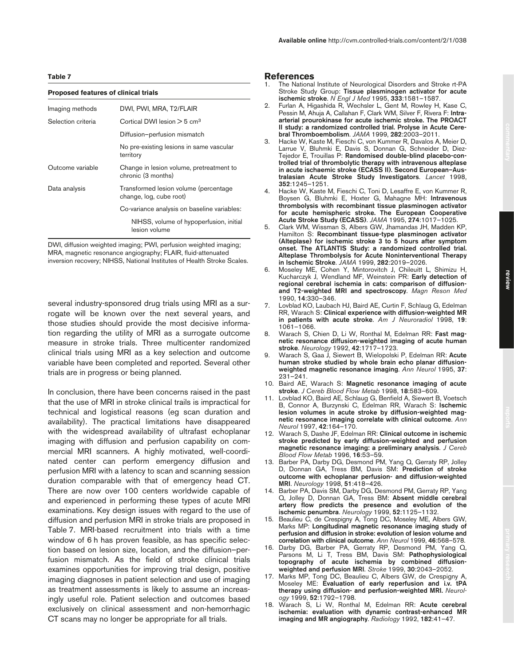#### **Table 7**

# **Proposed features of clinical trials**

| Imaging methods    | DWI, PWI, MRA, T2/FLAIR                                          |  |
|--------------------|------------------------------------------------------------------|--|
| Selection criteria | Cortical DWI lesion $>$ 5 cm <sup>3</sup>                        |  |
|                    | Diffusion-perfusion mismatch                                     |  |
|                    | No pre-existing lesions in same vascular<br>territory            |  |
| Outcome variable   | Change in lesion volume, pretreatment to<br>chronic (3 months)   |  |
| Data analysis      | Transformed lesion volume (percentage<br>change, log, cube root) |  |
|                    | Co-variance analysis on baseline variables:                      |  |
|                    | NIHSS, volume of hypoperfusion, initial<br>lesion volume         |  |
|                    |                                                                  |  |

DWI, diffusion weighted imaging; PWI, perfusion weighted imaging; MRA, magnetic resonance angiography; FLAIR, fluid-attenuated inversion recovery; NIHSS, National Institutes of Health Stroke Scales.

several industry-sponsored drug trials using MRI as a surrogate will be known over the next several years, and those studies should provide the most decisive information regarding the utility of MRI as a surrogate outcome measure in stroke trials. Three multicenter randomized clinical trials using MRI as a key selection and outcome variable have been completed and reported. Several other trials are in progress or being planned.

In conclusion, there have been concerns raised in the past that the use of MRI in stroke clinical trails is impractical for technical and logistical reasons (eg scan duration and availability). The practical limitations have disappeared with the widespread availability of ultrafast echoplanar imaging with diffusion and perfusion capability on commercial MRI scanners. A highly motivated, well-coordinated center can perform emergency diffusion and perfusion MRI with a latency to scan and scanning session duration comparable with that of emergency head CT. There are now over 100 centers worldwide capable of and experienced in performing these types of acute MRI examinations. Key design issues with regard to the use of diffusion and perfusion MRI in stroke trials are proposed in Table 7. MRI-based recruitment into trials with a time window of 6 h has proven feasible, as has specific selection based on lesion size, location, and the diffusion–perfusion mismatch. As the field of stroke clinical trials examines opportunities for improving trial design, positive imaging diagnoses in patient selection and use of imaging as treatment assessments is likely to assume an increasingly useful role. Patient selection and outcomes based exclusively on clinical assessment and non-hemorrhagic CT scans may no longer be appropriate for all trials.

# **References**

- 1. The National Institute of Neurological Disorders and Stroke rt-PA Stroke Study Group: **Tissue plasminogen activator for acute ischemic stroke**. *N Engl J Med* 1995, **333**:1581–1587.
- 2. Furlan A, Higashida R, Wechsler L, Gent M, Rowley H, Kase C, Pessin M, Ahuja A, Callahan F, Clark WM, Silver F, Rivera F: **Intraarterial prourokinase for acute ischemic stroke. The PROACT II study: a randomized controlled trial. Prolyse in Acute Cerebral Thromboembolism**. *JAMA* 1999, **282**:2003–2011.
- Hacke W, Kaste M, Fieschi C, von Kummer R, Davalos A, Meier D, Larrue V, Bluhmki E, Davis S, Donnan G, Schneider D, Diez-Tejedor E, Trouillas P: **Randomised double-blind placebo-controlled trial of thrombolytic therapy with intravenous alteplase in acute ischaemic stroke (ECASS II). Second European–Australasian Acute Stroke Study Investigators**. *Lancet* 1998, **352**:1245–1251.
- 4. Hacke W, Kaste M, Fieschi C, Toni D, Lesaffre E, von Kummer R, Boysen G, Bluhmki E, Hoxter G, Mahagne MH: **Intravenous thrombolysis with recombinant tissue plasminogen activator for acute hemispheric stroke. The European Cooperative Acute Stroke Study (ECASS)**. *JAMA* 1995, **274**:1017–1025.
- 5. Clark WM, Wissman S, Albers GW, Jhamandas JH, Madden KP, Hamilton S: **Recombinant tissue-type plasminogen activator (Alteplase) for ischemic stroke 3 to 5 hours after symptom onset. The ATLANTIS Study: a randomized controlled trial. Alteplase Thrombolysis for Acute Noninterventional Therapy in Ischemic Stroke**. *JAMA* 1999, **282**:2019–2026.
- 6. Moseley ME, Cohen Y, Mintorovitch J, Chileuitt L, Shimizu H, Kucharczyk J, Wendland MF, Weinstein PR: **Early detection of regional cerebral ischemia in cats: comparison of diffusionand T2-weighted MRI and spectroscopy**. *Magn Reson Med* 1990, **14**:330–346.
- 7. Lovblad KO, Laubach HJ, Baird AE, Curtin F, Schlaug G, Edelman RR, Warach S: **Clinical experience with diffusion-weighted MR in patients with acute stroke**. *Am J Neuroradiol* 1998, **19**: 1061–1066.
- 8. Warach S, Chien D, Li W, Ronthal M, Edelman RR: **Fast magnetic resonance diffusion-weighted imaging of acute human stroke**. *Neurology* 1992, **42**:1717–1723.
- 9. Warach S, Gaa J, Siewert B, Wielopolski P, Edelman RR: **Acute human stroke studied by whole brain echo planar diffusionweighted magnetic resonance imaging**. *Ann Neurol* 1995, **37**: 231–241.
- 10. Baird AE, Warach S: **Magnetic resonance imaging of acute stroke**. *J Cereb Blood Flow Metab* 1998, **18**:583–609.
- 11. Lovblad KO, Baird AE, Schlaug G, Benfield A, Siewert B, Voetsch B, Connor A, Burzynski C, Edelman RR, Warach S: **Ischemic lesion volumes in acute stroke by diffusion-weighted magnetic resonance imaging correlate with clinical outcome**. *Ann Neurol* 1997, **42**:164–170.
- 12. Warach S, Dashe JF, Edelman RR: **Clinical outcome in ischemic stroke predicted by early diffusion-weighted and perfusion magnetic resonance imaging: a preliminary analysis**. *J Cereb Blood Flow Metab* 1996, **16**:53–59.
- 13. Barber PA, Darby DG, Desmond PM, Yang Q, Gerraty RP, Jolley D, Donnan GA, Tress BM, Davis SM: **Prediction of stroke outcome with echoplanar perfusion- and diffusion-weighted MRI**. *Neurology* 1998, **51**:418–426.
- 14. Barber PA, Davis SM, Darby DG, Desmond PM, Gerraty RP, Yang Q, Jolley D, Donnan GA, Tress BM: **Absent middle cerebral artery flow predicts the presence and evolution of the ischemic penumbra**. *Neurology* 1999, **52**:1125–1132.
- 15. Beaulieu C, de Crespigny A, Tong DC, Moseley ME, Albers GW, Marks MP: **Longitudinal magnetic resonance imaging study of perfusion and diffusion in stroke: evolution of lesion volume and correlation with clinical outcome**. *Ann Neurol* 1999, **46**:568–578.
- 16. Darby DG, Barber PA, Gerraty RP, Desmond PM, Yang Q, Parsons M, Li T, Tress BM, Davis SM: **Pathophysiological topography of acute ischemia by combined diffusionweighted and perfusion MRI**. *Stroke* 1999, **30**:2043–2052.
- 17. Marks MP, Tong DC, Beaulieu C, Albers GW, de Crespigny A, Moseley ME: **Evaluation of early reperfusion and i.v. tPA therapy using diffusion- and perfusion-weighted MRI.** *Neurology* 1999, **52**:1792–1798.
- 18. Warach S, Li W, Ronthal M, Edelman RR: **Acute cerebral ischemia: evaluation with dynamic contrast-enhanced MR imaging and MR angiography**. *Radiology* 1992, **182**:41–47.